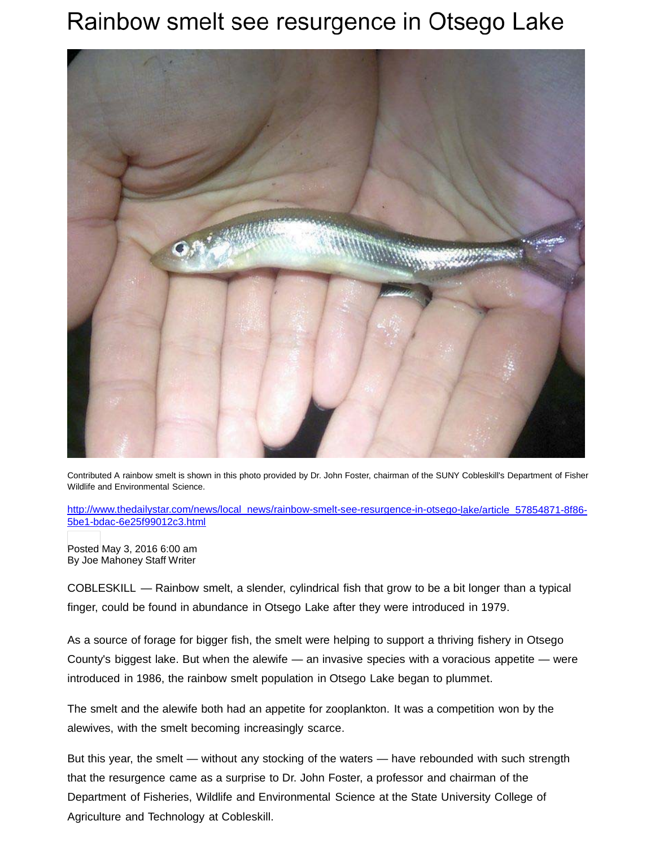## Rainbow smelt see resurgence in Otsego Lake



Contributed A rainbow smelt is shown in this photo provided by Dr. John Foster, chairman of the SUNY Cobleskill's Department of Fisher Wildlife and Environmental Science.

[http://www.thedailystar.com/news/local\\_news/rainbow-smelt-see-resurgence-in-otsego-lake/article\\_57854871-8f86-](http://www.thedailystar.com/news/local_news/rainbow-smelt-see-resurgence-in-otsego-lake/article_57854871-8f86-5be1-bdac-6e25f99012c3.html) [5be1-bdac-6e25f99012c3.html](http://www.thedailystar.com/news/local_news/rainbow-smelt-see-resurgence-in-otsego-lake/article_57854871-8f86-5be1-bdac-6e25f99012c3.html)

Posted May 3, 2016 6:00 am By Joe Mahoney Staff Writer

COBLESKILL — Rainbow smelt, a slender, cylindrical fish that grow to be a bit longer than a typical finger, could be found in abundance in Otsego Lake after they were introduced in 1979.

As a source of forage for bigger fish, the smelt were helping to support a thriving fishery in Otsego County's biggest lake. But when the alewife — an invasive species with a voracious appetite — were introduced in 1986, the rainbow smelt population in Otsego Lake began to plummet.

The smelt and the alewife both had an appetite for zooplankton. It was a competition won by the alewives, with the smelt becoming increasingly scarce.

But this year, the smelt — without any stocking of the waters — have rebounded with such strength that the resurgence came as a surprise to Dr. John Foster, a professor and chairman of the Department of Fisheries, Wildlife and Environmental Science at the State University College of Agriculture and Technology at Cobleskill.